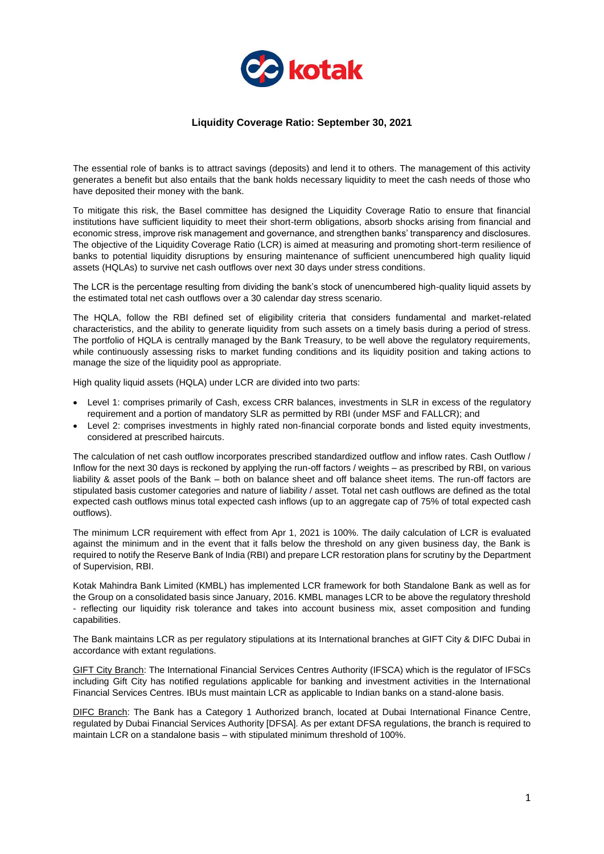

## **Liquidity Coverage Ratio: September 30, 2021**

The essential role of banks is to attract savings (deposits) and lend it to others. The management of this activity generates a benefit but also entails that the bank holds necessary liquidity to meet the cash needs of those who have deposited their money with the bank.

To mitigate this risk, the Basel committee has designed the Liquidity Coverage Ratio to ensure that financial institutions have sufficient liquidity to meet their short-term obligations, absorb shocks arising from financial and economic stress, improve risk management and governance, and strengthen banks' transparency and disclosures. The objective of the Liquidity Coverage Ratio (LCR) is aimed at measuring and promoting short-term resilience of banks to potential liquidity disruptions by ensuring maintenance of sufficient unencumbered high quality liquid assets (HQLAs) to survive net cash outflows over next 30 days under stress conditions.

The LCR is the percentage resulting from dividing the bank's stock of unencumbered high-quality liquid assets by the estimated total net cash outflows over a 30 calendar day stress scenario.

The HQLA, follow the RBI defined set of eligibility criteria that considers fundamental and market-related characteristics, and the ability to generate liquidity from such assets on a timely basis during a period of stress. The portfolio of HQLA is centrally managed by the Bank Treasury, to be well above the regulatory requirements, while continuously assessing risks to market funding conditions and its liquidity position and taking actions to manage the size of the liquidity pool as appropriate.

High quality liquid assets (HQLA) under LCR are divided into two parts:

- Level 1: comprises primarily of Cash, excess CRR balances, investments in SLR in excess of the regulatory requirement and a portion of mandatory SLR as permitted by RBI (under MSF and FALLCR); and
- Level 2: comprises investments in highly rated non-financial corporate bonds and listed equity investments, considered at prescribed haircuts.

The calculation of net cash outflow incorporates prescribed standardized outflow and inflow rates. Cash Outflow / Inflow for the next 30 days is reckoned by applying the run-off factors / weights – as prescribed by RBI, on various liability & asset pools of the Bank – both on balance sheet and off balance sheet items. The run-off factors are stipulated basis customer categories and nature of liability / asset. Total net cash outflows are defined as the total expected cash outflows minus total expected cash inflows (up to an aggregate cap of 75% of total expected cash outflows).

The minimum LCR requirement with effect from Apr 1, 2021 is 100%. The daily calculation of LCR is evaluated against the minimum and in the event that it falls below the threshold on any given business day, the Bank is required to notify the Reserve Bank of India (RBI) and prepare LCR restoration plans for scrutiny by the Department of Supervision, RBI.

Kotak Mahindra Bank Limited (KMBL) has implemented LCR framework for both Standalone Bank as well as for the Group on a consolidated basis since January, 2016. KMBL manages LCR to be above the regulatory threshold - reflecting our liquidity risk tolerance and takes into account business mix, asset composition and funding capabilities.

The Bank maintains LCR as per regulatory stipulations at its International branches at GIFT City & DIFC Dubai in accordance with extant regulations.

GIFT City Branch: The International Financial Services Centres Authority (IFSCA) which is the regulator of IFSCs including Gift City has notified regulations applicable for banking and investment activities in the International Financial Services Centres. IBUs must maintain LCR as applicable to Indian banks on a stand-alone basis.

DIFC Branch: The Bank has a Category 1 Authorized branch, located at Dubai International Finance Centre, regulated by Dubai Financial Services Authority [DFSA]. As per extant DFSA regulations, the branch is required to maintain LCR on a standalone basis – with stipulated minimum threshold of 100%.